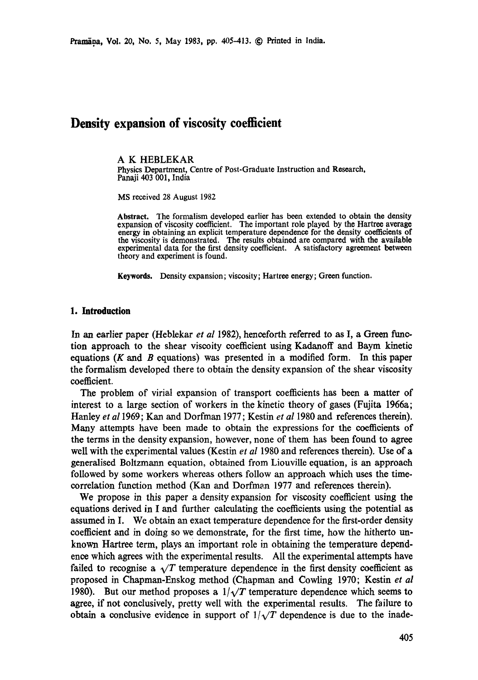# **Density expansion of viscosity coefficient**

## A K HEBLEKAR

Physics Department, Centre of Post-Graduate Instruction and Research, Panaji 403 001, India

MS received 28 August 1982

**Abstract.** "Ihe formalism developed earlier has been extended to obtain the density expansion of viscosity coefficient. The important role played by the Hartree average energy in obtaining an explicit temperature dependence for the density coefficients of **the** viscosity is demonstrated. The results obtained are compared with the available experimental data for the first density coefficient. A satisfactory agreement between theory and experiment is found.

**Keywords. Density** expansion; viscosity; Hartree energy; Green function.

## **1. Introduction**

In an earlier paper (Heblekar *et al* 1982), henceforth referred to as I, a Green function approach to the shear viscoity coefficient using Kadanoff and Baym kinetic equations  $(K \text{ and } B \text{ equations})$  was presented in a modified form. In this paper the formalism developed there to obtain the density expansion of the shear viscosity coefficient.

The problem of virial expansion of transport coefficients has been a matter of interest to a large section of workers in the kinetic theory of gases (Fujita 1966a; Hanley *et a11969;* Kan and Dorfman 1977; Kestin *et al* 1980 and references therein). Many attempts have been made to obtain the expressions for the coefficients of the terms in the density expansion, however, none of them has been found to agree well with the experimental values (Kestin *et al* 1980 and references therein). Use of a generalised Boltzmann equation, obtained from Liouville equation, is an approach followed by some workers whereas others follow an approach which uses the timecorrelation function method (Kan and Dorfman 1977 and references therein).

We propose in this paper a density expansion for viscosity coefficient using the equations derived in I and further calculating the coefficients using the potential as assumed in I. We obtain an exact temperature dependence for the first-order density coefficient and in doing so we demonstrate, for the first time, how the hitherto unknown Hartree term, plays an important role in obtaining the temperature dependence which agrees with the experimental results. All the experimental attempts have failed to recognise a  $\sqrt{T}$  temperature dependence in the first density coefficient as proposed in Chapman-Enskog method (Chapman and Cowling 1970; Kestin *et al*  1980). But our method proposes a  $1/\sqrt{T}$  temperature dependence which seems to agree, if not conclusively, pretty well with the experimental results. The failure to obtain a conclusive evidence in support of  $1/\sqrt{T}$  dependence is due to the inade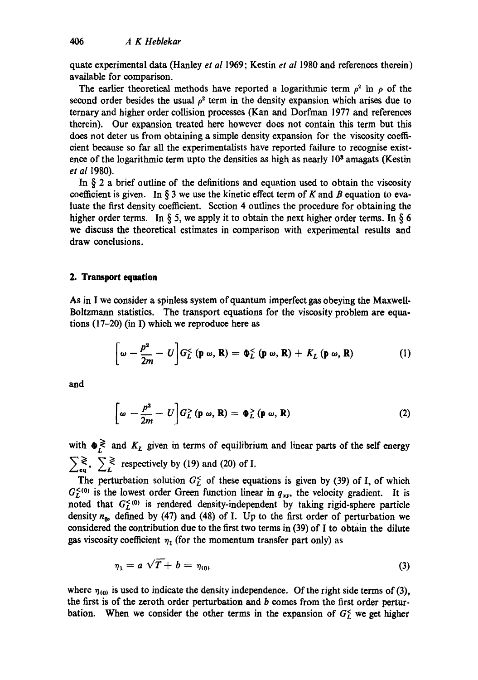quatc experimental data (Hanley *et al* 1969; Kestin *et al* 1980 and references therein) available for comparison.

The earlier theoretical methods have reported a logarithmic term  $\rho^2$  ln  $\rho$  of the second order besides the usual  $\rho^2$  term in the density expansion which arises due to ternary and higher order collision processes (Kan and Dorfman 1977 and references therein). Our expansion treated here however does not contain this term but this does not deter us from obtaining a simple density expansion for the viscosity coefficient because so far all the experimentalists have reported failure to recognise existence of the logarithmic term upto the densities as high as nearly  $10<sup>3</sup>$  amagats (Kestin *et al* 1980).

In  $\S$  2 a brief outline of the definitions and equation used to obtain the viscosity coefficient is given. In § 3 we use the kinetic effect term of K and B equation to evaluate the first density coefficient. Section 4 outlines the procedure for obtaining the higher order terms. In § 5, we apply it to obtain the next higher order terms. In § 6 we discuss the theoretical estimates in comparison with experimental results and draw conclusions.

# **2. Transport equation**

As in I we consider a spinless system of quantum imperfect gas obeying the Maxwell-Boltzmann statistics. The transport equations for the viscosity problem are equations (17-20) (in I) which we reproduce here as

$$
\left[\omega - \frac{p^2}{2m} - U\right] G_L^{\leq} \left(\mathbf{p} \omega, \mathbf{R}\right) = \Phi_L^{\leq} \left(\mathbf{p} \omega, \mathbf{R}\right) + K_L \left(\mathbf{p} \omega, \mathbf{R}\right) \tag{1}
$$

and

$$
\left[\omega - \frac{p^2}{2m} - U\right] G_L^>(\mathbf{p}\,\omega,\,\mathbf{R}) = \Phi_L^>(\mathbf{p}\,\omega,\,\mathbf{R}) \tag{2}
$$

with  $\Phi_L^{\gtrless}$  and  $K_L$  given in terms of equilibrium and linear parts of the self energy  $\sum_{\epsilon q} \xi$ ,  $\sum_{L} \xi$  respectively by (19) and (20) of I.

The perturbation solution  $G_F^{\le}$  of these equations is given by (39) of I, of which  $G_L^{<}(0)$  is the lowest order Green function linear in  $q_{xy}$ , the velocity gradient. It is noted that  $G_L^{<0}$  is rendered density-independent by taking rigid-sphere particle density  $n_{0}$ , defined by (47) and (48) of I. Up to the first order of perturbation we considered the contribution due to the first two terms in (39) of I to obtain the dilute gas viscosity coefficient  $\eta_1$  (for the momentum transfer part only) as

$$
\eta_1 = a \sqrt{T} + b = \eta_{(0)} \tag{3}
$$

where  $\eta_{(0)}$  is used to indicate the density independence. Of the right side terms of (3), the first is of the zeroth order perturbation and  $b$  comes from the first order perturbation. When we consider the other terms in the expansion of  $G<sub>L</sub>^c$  we get higher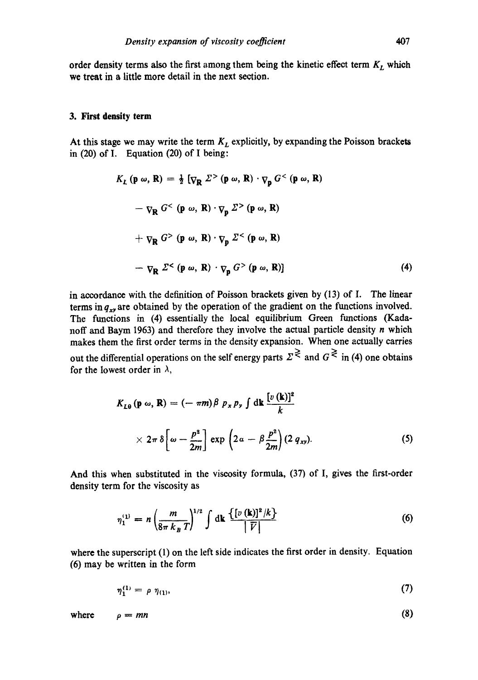order density terms also the first among them being the kinetic effect term  $K_L$  which we treat in a little more detail in the next section.

#### **3. First density term**

At this stage we may write the term  $K_L$  explicitly, by expanding the Poisson brackets in (20) of I. Equation (20) of I being:

$$
K_{L} (\mathbf{p} \omega, \mathbf{R}) = \frac{1}{2} [\nabla_{\mathbf{R}} \Sigma^{>} (\mathbf{p} \omega, \mathbf{R}) \cdot \nabla_{\mathbf{p}} G^{<} (\mathbf{p} \omega, \mathbf{R})
$$
  
\n
$$
- \nabla_{\mathbf{R}} G^{<} (\mathbf{p} \omega, \mathbf{R}) \cdot \nabla_{\mathbf{p}} \Sigma^{>} (\mathbf{p} \omega, \mathbf{R})
$$
  
\n
$$
+ \nabla_{\mathbf{R}} G^{>} (\mathbf{p} \omega, \mathbf{R}) \cdot \nabla_{\mathbf{p}} \Sigma^{<} (\mathbf{p} \omega, \mathbf{R})
$$
  
\n
$$
- \nabla_{\mathbf{R}} \Sigma^{<} (\mathbf{p} \omega, \mathbf{R}) \cdot \nabla_{\mathbf{p}} G^{>} (\mathbf{p} \omega, \mathbf{R}) ]
$$
 (4)

in accordance with the definition of Poisson brackets given by (13) of I. The linear terms in  $q_{xy}$  are obtained by the operation of the gradient on the functions involved. The functions in (4) essentially the local equilibrium Green functions (Kadanoff and Baym 1963) and therefore they involve the actual particle density n which makes them the first order terms in the density expansion. When one actually carries out the differential operations on the self energy parts  $\Sigma^{\gtrless}$  and  $G^{\gtrless}$  in (4) one obtains for the lowest order in  $\lambda$ ,

$$
K_{L\theta}(\mathbf{p}\,\omega,\,\mathbf{R}) = (-\pi m)\beta \ p_x p_y \int \mathrm{d}\mathbf{k} \, \frac{[v(\mathbf{k})]^2}{k}
$$

$$
\times 2\pi \delta \left[\omega - \frac{p^2}{2m}\right] \exp\left(2\,a - \beta \frac{p^2}{2m}\right) (2\,q_{xy}). \tag{5}
$$

And this when substituted in the viscosity formula, (37) of I, gives the first-order density term for the viscosity as

$$
\eta_1^{(1)} = n \left( \frac{m}{8\pi k_B T} \right)^{1/2} \int dk \frac{\{ [v(k)]^2 / k \}}{|\vec{V}|} \tag{6}
$$

where the superscript (1) on the left side indicates the first order in density. Equation (6) may be written in the form

$$
\eta_1^{(1)} = \rho \; \eta_{(1)}, \tag{7}
$$

where  $\rho = mn$  (8)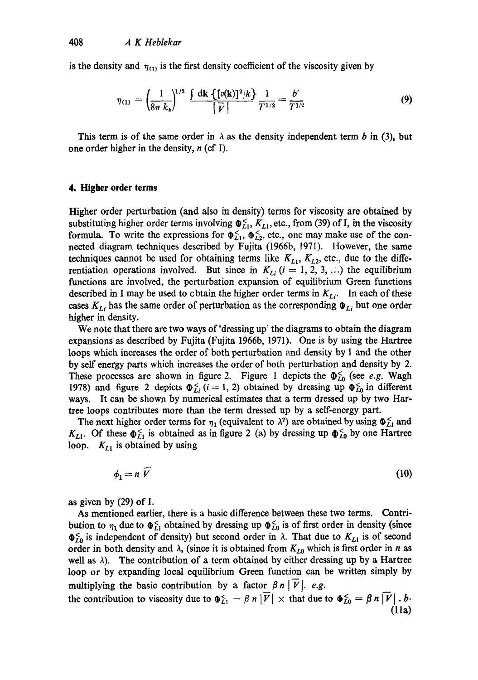is the density and  $\eta_{(1)}$  is the first density coefficient of the viscosity given by

$$
\eta_{(1)} = \left(\frac{1}{8\pi k_b}\right)^{1/2} \frac{\int dk \left\{ [v(k)]^2 / k \right\}}{\left| \overline{V} \right|} \frac{1}{T^{1/2}} = \frac{b'}{T^{1/2}} \tag{9}
$$

This term is of the same order in  $\lambda$  as the density independent term b in (3), but one order higher in the density,  $n$  (cf I).

## **4. Higher order terms**

Higher order perturbation (and also in density) terms for viscosity are obtained by substituting higher order terms involving  $\Phi_{L1}^{\leq}$ ,  $K_{L1}$ , etc., from (39) of I, in the viscosity formula. To write the expressions for  $\Phi_{L1}^{\lt}$ ,  $\Phi_{L2}^{\lt}$ , etc., one may make use of the connected diagram techniques described by Fujita (1966b, 1971). However, the same techniques cannot be used for obtaining terms like  $K_{L1}$ ,  $K_{L2}$ , etc., due to the differentiation operations involved. But since in  $K_{Li}$  ( $i = 1, 2, 3, ...$ ) the equilibrium functions are involved, the perturbation expansion of equilibrium Green functions described in I may be used to obtain the higher order terms in  $K_{Li}$ . In each of these cases  $K_{Li}$  has the same order of perturbation as the corresponding  $\Phi_{Li}$  but one order higher in density.

We note that there are two ways of'dressing up' the diagrams to obtain the diagram expansions as described by Fujita (Fujita 1966b, 1971). One is by using the Hartree loops which increases the order of both perturbation and density by 1 and the other by self energy parts which increases the order of both perturbation and density by 2. These processes are shown in figure 2. Figure 1 depicts the  $\Phi_{L0}^{\leq}$  (see *e.g.* Wagh 1978) and figure 2 depicts  $\Phi_{Li}^{\leq}$  (i = 1, 2) obtained by dressing up  $\Phi_{L0}^{\leq}$  in different ways. It can be shown by numerical estimates that a term dressed up by two Hartree loops contributes more than the term dressed up by a serf-energy part.

The next higher order terms for  $\eta_1$  (equivalent to  $\lambda^2$ ) are obtained by using  $\Phi_{L1}^<$  and  $K_{L1}$ . Of these  $\Phi_{L1}^{\leq}$  is obtained as in figure 2 (a) by dressing up  $\Phi_{L0}^{\leq}$  by one Hartree loop.  $K_{L1}$  is obtained by using

 $= n V$  (10)

as given by (29) of I.

As mentioned earlier, there is a basic difference between these two terms. Contribution to  $\eta_1$  due to  $\Phi_{L_1}^{\leq}$  obtained by dressing up  $\Phi_{L_0}^{\leq}$  is of first order in density (since  $\Phi_{L0}^{\epsilon}$  is independent of density) but second order in  $\lambda$ . That due to  $K_{L1}$  is of second order in both density and  $\lambda$ , (since it is obtained from  $K_{L0}$  which is first order in n as well as  $\lambda$ ). The contribution of a term obtained by either dressing up by a Hartree loop or by expanding local equilibrium Green function can be written simply by multiplying the basic contribution by a factor  $\beta n|\overline{V}|$ . *e.g.* 

the contribution to viscosity due to  $\Phi_{L1}^{\leq} = \beta n |\overrightarrow{V}| \times$  that due to  $\Phi_{L0}^{\leq} = \beta n |\overrightarrow{V}|$ . *b*. **(lla)**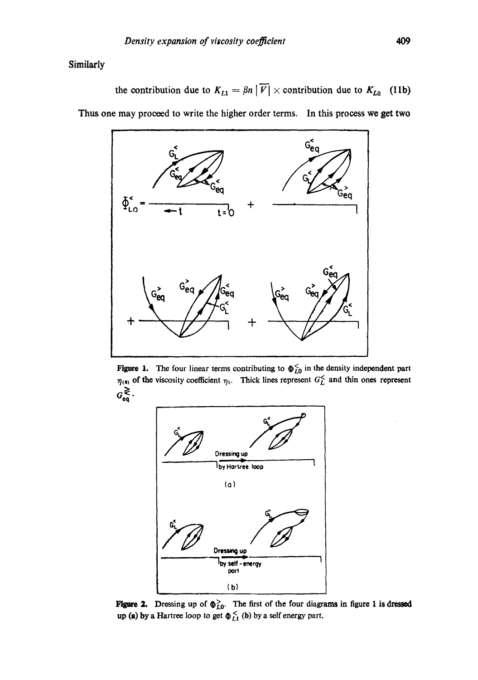Similarly

the contribution due to  $K_{L1} = \beta n |\overline{V}| \times$  contribution due to  $K_{L0}$  (11b) Thus one may proceed to write the higher order terms. In this process we get two



Figure 1. The four linear terms contributing to  $\Phi_{L0}^{\lt}$  in the density independent part  $\eta_{(0)}$  of the viscosity coefficient  $\eta_1$ . Thick lines represent  $G_L^{\leq}$  and thin ones represent  $G_{\mathrm{eq}}^{\gtrless}.$ 



**Figure 2.** Dressing up of  $\phi_{L0}^>$ . The first of the four diagrams in figure 1 is dresse up (a) by a Hartree loop to get  $\Phi_{LL}^{\leq}$  (b) by a self energy part.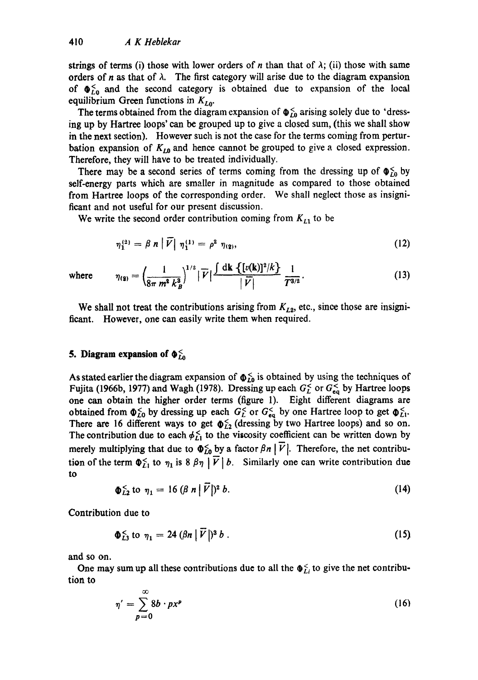strings of terms (i) those with lower orders of n than that of  $\lambda$ ; (ii) those with same orders of n as that of  $\lambda$ . The first category will arise due to the diagram expansion of  $\Phi_{L0}^{\le}$  and the second category is obtained due to expansion of the local equilibrium Green functions in  $K_{L0}$ .

The terms obtained from the diagram expansion of  $\Phi_{I0}^{\leq}$  arising solely due to 'dressing up by Hartree loops' can be grouped up to give a closed sum, (this we shall show in the next section). However such is not the case for the terms coming from perturbation expansion of  $K_{L0}$  and hence cannot be grouped to give a closed expression. Therefore, they will have to be treated individually.

There may be a second series of terms coming from the dressing up of  $\Phi_{10}^{\times}$  by self-energy parts which are smaller in magnitude as compared to those obtained from Hartree loops of the corresponding order. We shall neglect those as insignificant and not useful for our present discussion.

We write the second order contribution coming from  $K_{L1}$  to be

$$
\eta_1^{(2)} = \beta \; n \left| \; \widetilde{V} \right| \; \eta_1^{(1)} = \rho^2 \; \eta_{(2)}, \tag{12}
$$

where 
$$
\eta_{(2)} = \left(\frac{1}{8\pi m^2 k_B^3}\right)^{1/2} |\overline{V}| \frac{\int dk \left\{ [v(k)]^2/k \right\}}{|\overline{V}|} \frac{1}{T^{3/2}}.
$$
 (13)

We shall not treat the contributions arising from  $K_{L2}$ , etc., since those are insignificant. However, one can easily write them when required.

# **5. Diagram expansion of**  $\Phi_{L0}^{\leq}$

As stated earlier the diagram expansion of  $\Phi_{L0}^6$  is obtained by using the techniques of Fujita (1966b, 1977) and Wagh (1978). Dressing up each  $G_L^{\lt}$  or  $G_{eq}^{\lt}$  by Hartree loops one can obtain the higher order terms (figure 1). Eight different diagrams are obtained from  $\Phi_{L0}^<$  by dressing up each  $G_L^<$  or  $G_{eq}^<$  by one Hartree loop to get  $\Phi_{L1}^<$ . There are 16 different ways to get  $\phi_{L2}^{\lt}$  (dressing by two Hartree loops) and so on. The contribution due to each  $\phi_{L1}^{\leq}$  to the viscosity coefficient can be written down by merely multiplying that due to  $\Phi_{L0}^{\leq}$  by a factor  $\beta n | \overrightarrow{V}|$ . Therefore, the net contribution of the term  $\Phi_{L1}^{\le}$  to  $\eta_1$  is 8  $\beta\eta$  |  $\overline{V}$  | b. Similarly one can write contribution due to

$$
\Phi_{L2}^{\leq} \text{ to } \eta_1 = 16 \left( \beta \ n \middle| \vec{V} \right)^2 b. \tag{14}
$$

Contribution due to

$$
\Phi_{L3}^{\leq} \text{ to } \eta_1 = 24 \left( \beta n \middle| \vec{V} \right) \delta \, b \,. \tag{15}
$$

and so on.

One may sum up all these contributions due to all the  $\Phi_{Li}^{\leq}$  to give the net contribution to

$$
\eta' = \sum_{p=0}^{\infty} 8b \cdot px^p \tag{16}
$$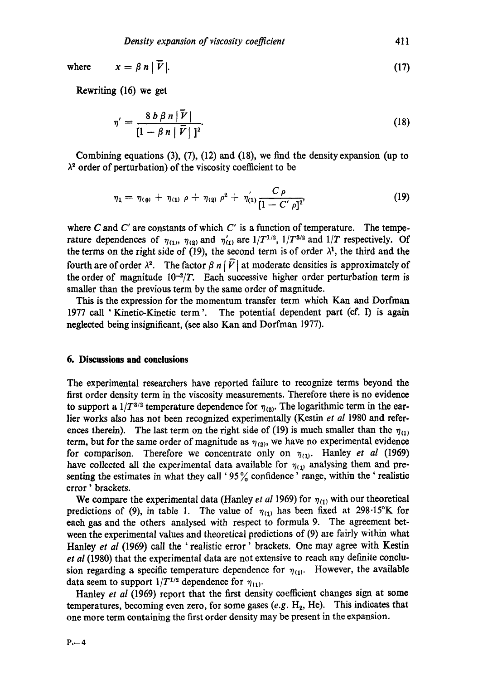where 
$$
x = \beta n |\overline{V}|.
$$
 (17)

Rewriting (16) we get

$$
\eta' = \frac{8 b \beta n |\overline{V}|}{\left[1 - \beta n |\overline{V}| \right]^2}.
$$
\n(18)

Combining equations (3), (7), (12) and (18), we find the density expansion (up to  $\lambda^2$  order of perturbation) of the viscosity coefficient to be

$$
\eta_1 = \eta_{(0)} + \eta_{(1)} \rho + \eta_{(2)} \rho^2 + \eta_{(1)}' \frac{C \rho}{[1 - C' \rho]^2}, \qquad (19)
$$

where C and C' are constants of which C' is a function of temperature. The temperature dependences of  $\eta_{(1)}$ ,  $\eta_{(2)}$  and  $\eta'_{(1)}$  are  $1/T^{1/2}$ ,  $1/T^{3/2}$  and  $1/T$  respectively. Of the terms on the right side of (19), the second term is of order  $\lambda^1$ , the third and the fourth are of order  $\lambda^2$ . The factor  $\beta n | \overline{V}$  at moderate densities is approximately of the order of magnitude  $10^{-2}/T$ . Each successive higher order perturbation term is smaller than the previous term by the same order of magnitude.

This is the expression for the momentum transfer term which Kan and Dorfman 1977 call 'Kinetic-Kinetic term'. The potential dependent part (cf. I) is again neglected being insignifieant, (see also Kan and Dorfman 1977).

# **6. Discussions and conclusions**

The experimental researchers have reported failure to recognize terms beyond the first order density term in the viscosity measurements. Therefore there is no evidence to support a  $1/T^{3/2}$  temperature dependence for  $\eta_{(2)}$ . The logarithmic term in the earlier works also has not been recognized experimentally (Kestin *et al* 1980 and references therein). The last term on the right side of (19) is much smaller than the  $\eta_{(1)}$ term, but for the same order of magnitude as  $\eta_{(2)}$ , we have no experimental evidence for comparison. Therefore we concentrate only on  $\eta_{(1)}$ . Hanley *et al* (1969) have collected all the experimental data available for  $\eta_{(1)}$  analysing them and presenting the estimates in what they call '95% confidence' range, within the 'realistic error ' brackets.

We compare the experimental data (Hanley *et al* 1969) for  $\eta_{(1)}$  with our theoretical predictions of (9), in table 1. The value of  $\eta_{(1)}$  has been fixed at 298.15°K for each gas and the others analysed with respect to formula 9. The agreement between the experimental values and theoretical predictions of (9) are fairly within what Hanley *et al* (1969) call the 'realistic error' brackets. One may agree with Kestin *et al* (1980) that the experimental data are not extensive to reach any definite conclusion regarding a specific temperature dependence for  $\eta_{(1)}$ . However, the available data seem to support  $1/T^{1/2}$  dependence for  $\eta_{(1)}$ .

Hanley *et al* (1969) report that the first density coefficient changes sign at some temperatures, becoming even zero, for some gases  $(e.g. H<sub>2</sub>, He)$ . This indicates that one more term containing the first order density may be present in the expansion.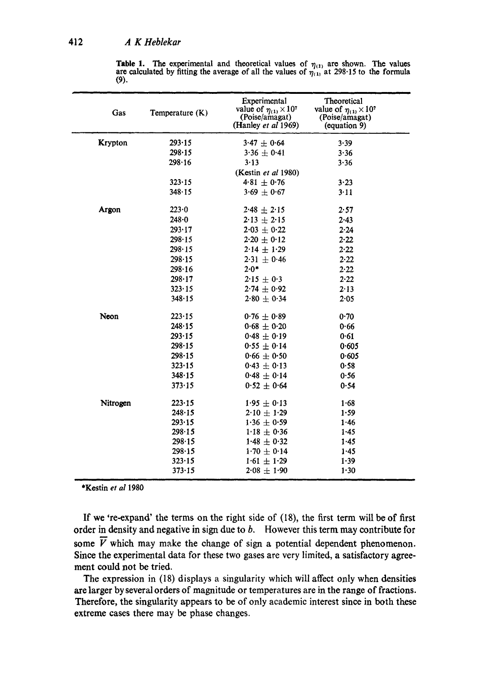|      | <b>Table 1.</b> The experimental and theoretical values of $\eta_{(1)}$ are shown. The values    |  |  |
|------|--------------------------------------------------------------------------------------------------|--|--|
|      | are calculated by fitting the average of all the values of $\eta_{(1)}$ at 298.15 to the formula |  |  |
| (9). |                                                                                                  |  |  |

| Gas            | Temperature (K) | Experimental<br>value of $\eta_{(1)} \times 10^7$<br>(Poise/amagat)<br>(Hanley et al 1969) | Theoretical<br>value of $\eta_{(1)} \times 10^7$<br>(Poise/amagat)<br>(equation 9) |
|----------------|-----------------|--------------------------------------------------------------------------------------------|------------------------------------------------------------------------------------|
| <b>Krypton</b> | 293.15          | $3.47 \pm 0.64$                                                                            | 3.39                                                                               |
|                | 298.15          | $3.36 \pm 0.41$                                                                            | 3.36                                                                               |
|                | 298.16          | 3.13                                                                                       | 3.36                                                                               |
|                |                 | (Kestin et al 1980)                                                                        |                                                                                    |
|                | $323 - 15$      | $4.81 \pm 0.76$                                                                            | 3.23                                                                               |
|                | 348.15          | $3.69 \pm 0.67$                                                                            | 3.11                                                                               |
| Argon          | 223.0           | $2.48 \pm 2.15$                                                                            | 2.57                                                                               |
|                | $248 - 0$       | $2.13 \pm 2.15$                                                                            | 2.43                                                                               |
|                | 293.17          | $2.03 \pm 0.22$                                                                            | $2 - 24$                                                                           |
|                | 298.15          | $2.20 \pm 0.12$                                                                            | 2.22                                                                               |
|                | $298 - 15$      | $2.14 \pm 1.29$                                                                            | 2.22                                                                               |
|                | 298.15          | $2.31 \pm 0.46$                                                                            | 2.22                                                                               |
|                | 298.16          | $2.0*$                                                                                     | 2.22                                                                               |
|                | 298.17          | $2.15 \pm 0.3$                                                                             | 2.22                                                                               |
|                | 323.15          | $2.74 \pm 0.92$                                                                            | 2.13                                                                               |
|                | 348.15          | $2.80 \pm 0.34$                                                                            | 2.05                                                                               |
| Neon           | 223.15          | $0.76 \pm 0.89$                                                                            | 0.70                                                                               |
|                | 248.15          | $0.68 \pm 0.20$                                                                            | 0.66                                                                               |
|                | 293.15          | $0.48 \pm 0.19$                                                                            | 0.61                                                                               |
|                | 298.15          | $0.55 \pm 0.14$                                                                            | 0.605                                                                              |
|                | 298.15          | 0.66 $\pm$ 0.50                                                                            | 0.605                                                                              |
|                | 323.15          | $0.43 \pm 0.13$                                                                            | 0.58                                                                               |
|                | 348.15          | $0.48 \pm 0.14$                                                                            | 0.56                                                                               |
|                | 373.15          | $0.52 \pm 0.64$                                                                            | 0.54                                                                               |
| Nitrogen       | 223.15          | $1.95 \pm 0.13$                                                                            | 1.68                                                                               |
|                | 248.15          | $2.10 \pm 1.29$                                                                            | 1.59                                                                               |
|                | 293.15          | $1.36 \pm 0.59$                                                                            | 1.46                                                                               |
|                | 298.15          | $1.18 \pm 0.36$                                                                            | 1.45                                                                               |
|                | 298.15          | $1.48 \pm 0.32$                                                                            | 1.45                                                                               |
|                | 298.15          | $1.70 \pm 0.14$                                                                            | 1.45                                                                               |
|                | 323.15          | $1.61 \pm 1.29$                                                                            | 1.39                                                                               |
|                | 373.15          | $2.08 \pm 1.90$                                                                            | 1.30                                                                               |

\*Kestin *et al* 1980

If we 're-expand' the terms on the right side of (18), the first term will be of first order in density and negative in sign due to b. However this term may contribute for some  $\overline{V}$  which may make the change of sign a potential dependent phenomenon. Since the experimental data for these two gases are very limited, a satisfactory agreement could not be tried.

The expression in (18) displays a singularity which will affect only when densities are larger by several orders of magnitude or temperatures are in the range of fractions. Therefore, the singularity appears to be of only academic interest since in both these extreme eases there may be phase changes.